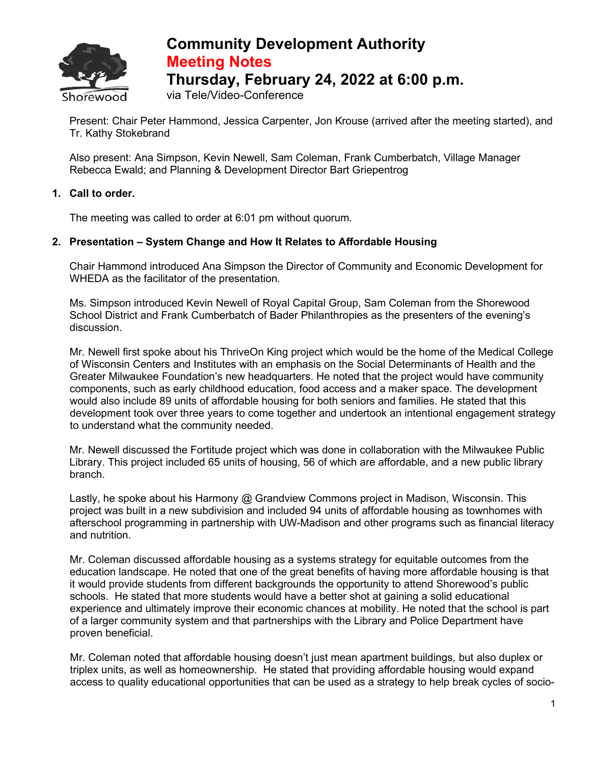

## **Community Development Authority Meeting Notes Thursday, February 24, 2022 at 6:00 p.m.**

via Tele/Video-Conference

Present: Chair Peter Hammond, Jessica Carpenter, Jon Krouse (arrived after the meeting started), and Tr. Kathy Stokebrand

Also present: Ana Simpson, Kevin Newell, Sam Coleman, Frank Cumberbatch, Village Manager Rebecca Ewald; and Planning & Development Director Bart Griepentrog

## **1. Call to order.**

The meeting was called to order at 6:01 pm without quorum.

## **2. Presentation – System Change and How It Relates to Affordable Housing**

Chair Hammond introduced Ana Simpson the Director of Community and Economic Development for WHEDA as the facilitator of the presentation.

Ms. Simpson introduced Kevin Newell of Royal Capital Group, Sam Coleman from the Shorewood School District and Frank Cumberbatch of Bader Philanthropies as the presenters of the evening's discussion.

Mr. Newell first spoke about his ThriveOn King project which would be the home of the Medical College of Wisconsin Centers and Institutes with an emphasis on the Social Determinants of Health and the Greater Milwaukee Foundation's new headquarters. He noted that the project would have community components, such as early childhood education, food access and a maker space. The development would also include 89 units of affordable housing for both seniors and families. He stated that this development took over three years to come together and undertook an intentional engagement strategy to understand what the community needed.

Mr. Newell discussed the Fortitude project which was done in collaboration with the Milwaukee Public Library. This project included 65 units of housing, 56 of which are affordable, and a new public library branch.

Lastly, he spoke about his Harmony @ Grandview Commons project in Madison, Wisconsin. This project was built in a new subdivision and included 94 units of affordable housing as townhomes with afterschool programming in partnership with UW-Madison and other programs such as financial literacy and nutrition.

Mr. Coleman discussed affordable housing as a systems strategy for equitable outcomes from the education landscape. He noted that one of the great benefits of having more affordable housing is that it would provide students from different backgrounds the opportunity to attend Shorewood's public schools. He stated that more students would have a better shot at gaining a solid educational experience and ultimately improve their economic chances at mobility. He noted that the school is part of a larger community system and that partnerships with the Library and Police Department have proven beneficial.

Mr. Coleman noted that affordable housing doesn't just mean apartment buildings, but also duplex or triplex units, as well as homeownership. He stated that providing affordable housing would expand access to quality educational opportunities that can be used as a strategy to help break cycles of socio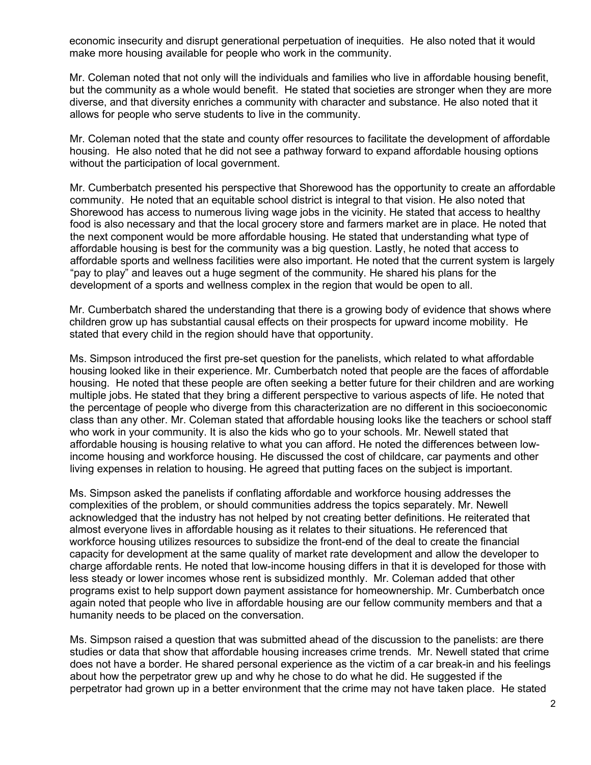economic insecurity and disrupt generational perpetuation of inequities. He also noted that it would make more housing available for people who work in the community.

Mr. Coleman noted that not only will the individuals and families who live in affordable housing benefit, but the community as a whole would benefit. He stated that societies are stronger when they are more diverse, and that diversity enriches a community with character and substance. He also noted that it allows for people who serve students to live in the community.

Mr. Coleman noted that the state and county offer resources to facilitate the development of affordable housing. He also noted that he did not see a pathway forward to expand affordable housing options without the participation of local government.

Mr. Cumberbatch presented his perspective that Shorewood has the opportunity to create an affordable community. He noted that an equitable school district is integral to that vision. He also noted that Shorewood has access to numerous living wage jobs in the vicinity. He stated that access to healthy food is also necessary and that the local grocery store and farmers market are in place. He noted that the next component would be more affordable housing. He stated that understanding what type of affordable housing is best for the community was a big question. Lastly, he noted that access to affordable sports and wellness facilities were also important. He noted that the current system is largely "pay to play" and leaves out a huge segment of the community. He shared his plans for the development of a sports and wellness complex in the region that would be open to all.

Mr. Cumberbatch shared the understanding that there is a growing body of evidence that shows where children grow up has substantial causal effects on their prospects for upward income mobility. He stated that every child in the region should have that opportunity.

Ms. Simpson introduced the first pre-set question for the panelists, which related to what affordable housing looked like in their experience. Mr. Cumberbatch noted that people are the faces of affordable housing. He noted that these people are often seeking a better future for their children and are working multiple jobs. He stated that they bring a different perspective to various aspects of life. He noted that the percentage of people who diverge from this characterization are no different in this socioeconomic class than any other. Mr. Coleman stated that affordable housing looks like the teachers or school staff who work in your community. It is also the kids who go to your schools. Mr. Newell stated that affordable housing is housing relative to what you can afford. He noted the differences between lowincome housing and workforce housing. He discussed the cost of childcare, car payments and other living expenses in relation to housing. He agreed that putting faces on the subject is important.

Ms. Simpson asked the panelists if conflating affordable and workforce housing addresses the complexities of the problem, or should communities address the topics separately. Mr. Newell acknowledged that the industry has not helped by not creating better definitions. He reiterated that almost everyone lives in affordable housing as it relates to their situations. He referenced that workforce housing utilizes resources to subsidize the front-end of the deal to create the financial capacity for development at the same quality of market rate development and allow the developer to charge affordable rents. He noted that low-income housing differs in that it is developed for those with less steady or lower incomes whose rent is subsidized monthly. Mr. Coleman added that other programs exist to help support down payment assistance for homeownership. Mr. Cumberbatch once again noted that people who live in affordable housing are our fellow community members and that a humanity needs to be placed on the conversation.

Ms. Simpson raised a question that was submitted ahead of the discussion to the panelists: are there studies or data that show that affordable housing increases crime trends. Mr. Newell stated that crime does not have a border. He shared personal experience as the victim of a car break-in and his feelings about how the perpetrator grew up and why he chose to do what he did. He suggested if the perpetrator had grown up in a better environment that the crime may not have taken place. He stated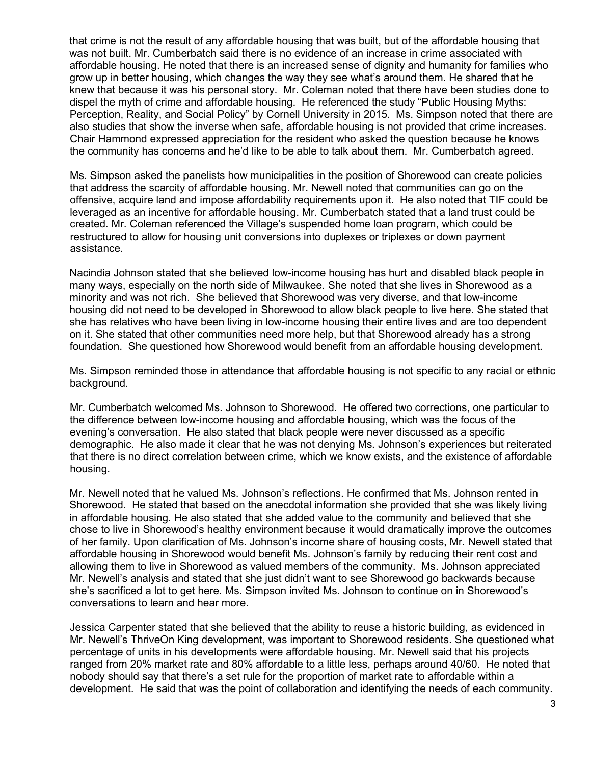that crime is not the result of any affordable housing that was built, but of the affordable housing that was not built. Mr. Cumberbatch said there is no evidence of an increase in crime associated with affordable housing. He noted that there is an increased sense of dignity and humanity for families who grow up in better housing, which changes the way they see what's around them. He shared that he knew that because it was his personal story. Mr. Coleman noted that there have been studies done to dispel the myth of crime and affordable housing. He referenced the study "Public Housing Myths: Perception, Reality, and Social Policy" by Cornell University in 2015. Ms. Simpson noted that there are also studies that show the inverse when safe, affordable housing is not provided that crime increases. Chair Hammond expressed appreciation for the resident who asked the question because he knows the community has concerns and he'd like to be able to talk about them. Mr. Cumberbatch agreed.

Ms. Simpson asked the panelists how municipalities in the position of Shorewood can create policies that address the scarcity of affordable housing. Mr. Newell noted that communities can go on the offensive, acquire land and impose affordability requirements upon it. He also noted that TIF could be leveraged as an incentive for affordable housing. Mr. Cumberbatch stated that a land trust could be created. Mr. Coleman referenced the Village's suspended home loan program, which could be restructured to allow for housing unit conversions into duplexes or triplexes or down payment assistance.

Nacindia Johnson stated that she believed low-income housing has hurt and disabled black people in many ways, especially on the north side of Milwaukee. She noted that she lives in Shorewood as a minority and was not rich. She believed that Shorewood was very diverse, and that low-income housing did not need to be developed in Shorewood to allow black people to live here. She stated that she has relatives who have been living in low-income housing their entire lives and are too dependent on it. She stated that other communities need more help, but that Shorewood already has a strong foundation. She questioned how Shorewood would benefit from an affordable housing development.

Ms. Simpson reminded those in attendance that affordable housing is not specific to any racial or ethnic background.

Mr. Cumberbatch welcomed Ms. Johnson to Shorewood. He offered two corrections, one particular to the difference between low-income housing and affordable housing, which was the focus of the evening's conversation. He also stated that black people were never discussed as a specific demographic. He also made it clear that he was not denying Ms. Johnson's experiences but reiterated that there is no direct correlation between crime, which we know exists, and the existence of affordable housing.

Mr. Newell noted that he valued Ms. Johnson's reflections. He confirmed that Ms. Johnson rented in Shorewood. He stated that based on the anecdotal information she provided that she was likely living in affordable housing. He also stated that she added value to the community and believed that she chose to live in Shorewood's healthy environment because it would dramatically improve the outcomes of her family. Upon clarification of Ms. Johnson's income share of housing costs, Mr. Newell stated that affordable housing in Shorewood would benefit Ms. Johnson's family by reducing their rent cost and allowing them to live in Shorewood as valued members of the community. Ms. Johnson appreciated Mr. Newell's analysis and stated that she just didn't want to see Shorewood go backwards because she's sacrificed a lot to get here. Ms. Simpson invited Ms. Johnson to continue on in Shorewood's conversations to learn and hear more.

Jessica Carpenter stated that she believed that the ability to reuse a historic building, as evidenced in Mr. Newell's ThriveOn King development, was important to Shorewood residents. She questioned what percentage of units in his developments were affordable housing. Mr. Newell said that his projects ranged from 20% market rate and 80% affordable to a little less, perhaps around 40/60. He noted that nobody should say that there's a set rule for the proportion of market rate to affordable within a development. He said that was the point of collaboration and identifying the needs of each community.